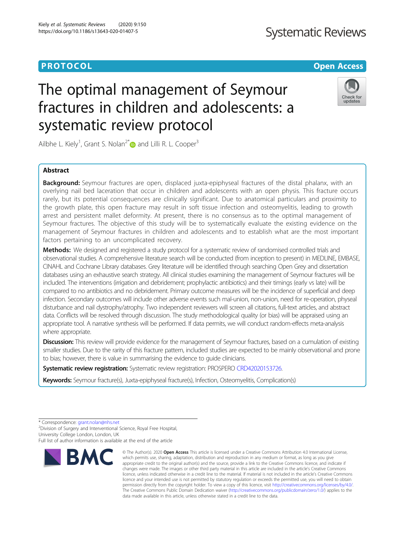## **Systematic Reviews**

### **PROTOCOL CONSUMING THE CONSUMING TEACHER CONSUMING THE CONSUMING TEACHER CONSUMING THE CONSUMING TEACHER CONSUMING**

# The optimal management of Seymour fractures in children and adolescents: a systematic review protocol



Ailbhe L. Kiely<sup>1</sup>, Grant S. Nolan<sup>2\*</sup> and Lilli R. L. Cooper<sup>3</sup>

#### Abstract

**Background:** Seymour fractures are open, displaced juxta-epiphyseal fractures of the distal phalanx, with an overlying nail bed laceration that occur in children and adolescents with an open physis. This fracture occurs rarely, but its potential consequences are clinically significant. Due to anatomical particulars and proximity to the growth plate, this open fracture may result in soft tissue infection and osteomyelitis, leading to growth arrest and persistent mallet deformity. At present, there is no consensus as to the optimal management of Seymour fractures. The objective of this study will be to systematically evaluate the existing evidence on the management of Seymour fractures in children and adolescents and to establish what are the most important factors pertaining to an uncomplicated recovery.

Methods: We designed and registered a study protocol for a systematic review of randomised controlled trials and observational studies. A comprehensive literature search will be conducted (from inception to present) in MEDLINE, EMBASE, CINAHL and Cochrane Library databases. Grey literature will be identified through searching Open Grey and dissertation databases using an exhaustive search strategy. All clinical studies examining the management of Seymour fractures will be included. The interventions (irrigation and debridement; prophylactic antibiotics) and their timings (early vs late) will be compared to no antibiotics and no debridement. Primary outcome measures will be the incidence of superficial and deep infection. Secondary outcomes will include other adverse events such mal-union, non-union, need for re-operation, physeal disturbance and nail dystrophy/atrophy. Two independent reviewers will screen all citations, full-text articles, and abstract data. Conflicts will be resolved through discussion. The study methodological quality (or bias) will be appraised using an appropriate tool. A narrative synthesis will be performed. If data permits, we will conduct random-effects meta-analysis where appropriate.

**Discussion:** This review will provide evidence for the management of Seymour fractures, based on a cumulation of existing smaller studies. Due to the rarity of this fracture pattern, included studies are expected to be mainly observational and prone to bias; however, there is value in summarising the evidence to guide clinicians.

Systematic review registration: Systematic review registration: PROSPERO [CRD42020153726.](https://www.crd.york.ac.uk/prospero/display_record.php?RecordID=153726)

Keywords: Seymour fracture(s), Juxta-epiphyseal fracture(s), Infection, Osteomyelitis, Complication(s)

<sup>2</sup>Division of Surgery and Interventional Science, Royal Free Hospital, University College London, London, UK

Full list of author information is available at the end of the article



<sup>©</sup> The Author(s), 2020 **Open Access** This article is licensed under a Creative Commons Attribution 4.0 International License, which permits use, sharing, adaptation, distribution and reproduction in any medium or format, as long as you give appropriate credit to the original author(s) and the source, provide a link to the Creative Commons licence, and indicate if changes were made. The images or other third party material in this article are included in the article's Creative Commons licence, unless indicated otherwise in a credit line to the material. If material is not included in the article's Creative Commons licence and your intended use is not permitted by statutory regulation or exceeds the permitted use, you will need to obtain permission directly from the copyright holder. To view a copy of this licence, visit [http://creativecommons.org/licenses/by/4.0/.](http://creativecommons.org/licenses/by/4.0/) The Creative Commons Public Domain Dedication waiver [\(http://creativecommons.org/publicdomain/zero/1.0/](http://creativecommons.org/publicdomain/zero/1.0/)) applies to the data made available in this article, unless otherwise stated in a credit line to the data.

<sup>\*</sup> Correspondence: [grant.nolan@nhs.net](mailto:grant.nolan@nhs.net) <sup>2</sup>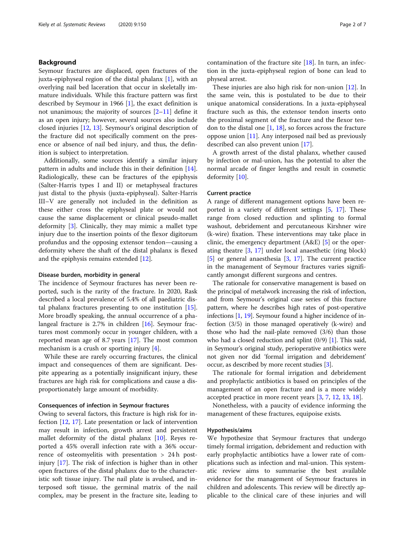#### Background

Seymour fractures are displaced, open fractures of the juxta-epiphyseal region of the distal phalanx [\[1\]](#page-5-0), with an overlying nail bed laceration that occur in skeletally immature individuals. While this fracture pattern was first described by Seymour in 1966  $[1]$  $[1]$ , the exact definition is not unanimous; the majority of sources  $[2-11]$  $[2-11]$  $[2-11]$  $[2-11]$  $[2-11]$  define it as an open injury; however, several sources also include closed injuries [[12](#page-6-0), [13\]](#page-6-0). Seymour's original description of the fracture did not specifically comment on the presence or absence of nail bed injury, and thus, the definition is subject to interpretation.

Additionally, some sources identify a similar injury pattern in adults and include this in their definition [\[14](#page-6-0)]. Radiologically, these can be fractures of the epiphysis (Salter-Harris types I and II) or metaphyseal fractures just distal to the physis (juxta-epiphyseal). Salter-Harris III–V are generally not included in the definition as these either cross the epiphyseal plate or would not cause the same displacement or clinical pseudo-mallet deformity [[3\]](#page-5-0). Clinically, they may mimic a mallet type injury due to the insertion points of the flexor digitorum profundus and the opposing extensor tendon—causing a deformity where the shaft of the distal phalanx is flexed and the epiphysis remains extended [\[12\]](#page-6-0).

#### Disease burden, morbidity in general

The incidence of Seymour fractures has never been reported, such is the rarity of the fracture. In 2020, Rask described a local prevalence of 5.4% of all paediatric distal phalanx fractures presenting to one institution [\[15](#page-6-0)]. More broadly speaking, the annual occurrence of a phalangeal fracture is 2.7% in children [\[16\]](#page-6-0). Seymour fractures most commonly occur in younger children, with a reported mean age of 8.7 years [[17](#page-6-0)]. The most common mechanism is a crush or sporting injury [[4](#page-5-0)].

While these are rarely occurring fractures, the clinical impact and consequences of them are significant. Despite appearing as a potentially insignificant injury, these fractures are high risk for complications and cause a disproportionately large amount of morbidity.

#### Consequences of infection in Seymour fractures

Owing to several factors, this fracture is high risk for infection [[12,](#page-6-0) [17\]](#page-6-0). Late presentation or lack of intervention may result in infection, growth arrest and persistent mallet deformity of the distal phalanx [\[10](#page-5-0)]. Reyes reported a 45% overall infection rate with a 36% occurrence of osteomyelitis with presentation > 24 h postinjury [\[17](#page-6-0)]. The risk of infection is higher than in other open fractures of the distal phalanx due to the characteristic soft tissue injury. The nail plate is avulsed, and interposed soft tissue, the germinal matrix of the nail complex, may be present in the fracture site, leading to contamination of the fracture site [[18](#page-6-0)]. In turn, an infection in the juxta-epiphyseal region of bone can lead to physeal arrest.

These injuries are also high risk for non-union [[12](#page-6-0)]. In the same vein, this is postulated to be due to their unique anatomical considerations. In a juxta-epiphyseal fracture such as this, the extensor tendon inserts onto the proximal segment of the fracture and the flexor tendon to the distal one  $[1, 18]$  $[1, 18]$  $[1, 18]$  $[1, 18]$ , so forces across the fracture oppose union [[11](#page-6-0)]. Any interposed nail bed as previously described can also prevent union [[17\]](#page-6-0).

A growth arrest of the distal phalanx, whether caused by infection or mal-union, has the potential to alter the normal arcade of finger lengths and result in cosmetic deformity [\[10](#page-5-0)].

#### Current practice

A range of different management options have been reported in a variety of different settings [\[5,](#page-5-0) [17\]](#page-6-0). These range from closed reduction and splinting to formal washout, debridement and percutaneous Kirshner wire (k-wire) fixation. These interventions may take place in clinic, the emergency department (A&E) [[5](#page-5-0)] or the operating theatre [[3,](#page-5-0) [17](#page-6-0)] under local anaesthetic (ring block) [[5\]](#page-5-0) or general anaesthesia [[3,](#page-5-0) [17\]](#page-6-0). The current practice in the management of Seymour fractures varies significantly amongst different surgeons and centres.

The rationale for conservative management is based on the principal of metalwork increasing the risk of infection, and from Seymour's original case series of this fracture pattern, where he describes high rates of post-operative infections [\[1](#page-5-0), [19\]](#page-6-0). Seymour found a higher incidence of infection (3/5) in those managed operatively (k-wire) and those who had the nail-plate removed (3/6) than those who had a closed reduction and splint  $(0/9)$  [\[1\]](#page-5-0). This said, in Seymour's original study, perioperative antibiotics were not given nor did 'formal irrigation and debridement' occur, as described by more recent studies [[3](#page-5-0)].

The rationale for formal irrigation and debridement and prophylactic antibiotics is based on principles of the management of an open fracture and is a more widely accepted practice in more recent years [[3,](#page-5-0) [7,](#page-5-0) [12,](#page-6-0) [13,](#page-6-0) [18](#page-6-0)].

Nonetheless, with a paucity of evidence informing the management of these fractures, equipoise exists.

#### Hypothesis/aims

We hypothesize that Seymour fractures that undergo timely formal irrigation, debridement and reduction with early prophylactic antibiotics have a lower rate of complications such as infection and mal-union. This systematic review aims to summarise the best available evidence for the management of Seymour fractures in children and adolescents. This review will be directly applicable to the clinical care of these injuries and will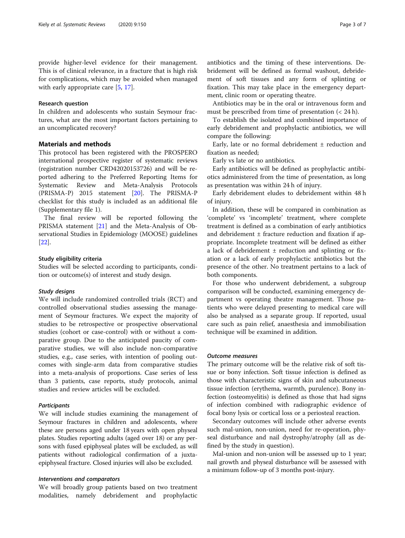provide higher-level evidence for their management. This is of clinical relevance, in a fracture that is high risk for complications, which may be avoided when managed with early appropriate care [[5,](#page-5-0) [17\]](#page-6-0).

#### Research question

In children and adolescents who sustain Seymour fractures, what are the most important factors pertaining to an uncomplicated recovery?

#### Materials and methods

This protocol has been registered with the PROSPERO international prospective register of systematic reviews (registration number CRD42020153726) and will be reported adhering to the Preferred Reporting Items for Systematic Review and Meta-Analysis Protocols (PRISMA-P) 2015 statement [[20\]](#page-6-0). The PRISMA-P checklist for this study is included as an additional file (Supplementary file 1).

The final review will be reported following the PRISMA statement [[21](#page-6-0)] and the Meta-Analysis of Observational Studies in Epidemiology (MOOSE) guidelines [[22\]](#page-6-0).

#### Study eligibility criteria

Studies will be selected according to participants, condition or outcome(s) of interest and study design.

#### Study designs

We will include randomized controlled trials (RCT) and controlled observational studies assessing the management of Seymour fractures. We expect the majority of studies to be retrospective or prospective observational studies (cohort or case-control) with or without a comparative group. Due to the anticipated paucity of comparative studies, we will also include non-comparative studies, e.g., case series, with intention of pooling outcomes with single-arm data from comparative studies into a meta-analysis of proportions. Case series of less than 3 patients, case reports, study protocols, animal studies and review articles will be excluded.

#### **Participants**

We will include studies examining the management of Seymour fractures in children and adolescents, where these are persons aged under 18 years with open physeal plates. Studies reporting adults (aged over 18) or any persons with fused epiphyseal plates will be excluded, as will patients without radiological confirmation of a juxtaepiphyseal fracture. Closed injuries will also be excluded.

#### Interventions and comparators

We will broadly group patients based on two treatment modalities, namely debridement and prophylactic antibiotics and the timing of these interventions. Debridement will be defined as formal washout, debridement of soft tissues and any form of splinting or fixation. This may take place in the emergency department, clinic room or operating theatre.

Antibiotics may be in the oral or intravenous form and must be prescribed from time of presentation (< 24 h).

To establish the isolated and combined importance of early debridement and prophylactic antibiotics, we will compare the following:

Early, late or no formal debridement ± reduction and fixation as needed;

Early vs late or no antibiotics.

Early antibiotics will be defined as prophylactic antibiotics administered from the time of presentation, as long as presentation was within 24 h of injury.

Early debridement eludes to debridement within 48 h of injury.

In addition, these will be compared in combination as 'complete' vs 'incomplete' treatment, where complete treatment is defined as a combination of early antibiotics and debridement  $\pm$  fracture reduction and fixation if appropriate. Incomplete treatment will be defined as either a lack of debridement  $\pm$  reduction and splinting or fixation or a lack of early prophylactic antibiotics but the presence of the other. No treatment pertains to a lack of both components.

For those who underwent debridement, a subgroup comparison will be conducted, examining emergency department vs operating theatre management. Those patients who were delayed presenting to medical care will also be analysed as a separate group. If reported, usual care such as pain relief, anaesthesia and immobilisation technique will be examined in addition.

#### Outcome measures

The primary outcome will be the relative risk of soft tissue or bony infection. Soft tissue infection is defined as those with characteristic signs of skin and subcutaneous tissue infection (erythema, warmth, purulence). Bony infection (osteomyelitis) is defined as those that had signs of infection combined with radiographic evidence of focal bony lysis or cortical loss or a periosteal reaction.

Secondary outcomes will include other adverse events such mal-union, non-union, need for re-operation, physeal disturbance and nail dystrophy/atrophy (all as defined by the study in question).

Mal-union and non-union will be assessed up to 1 year; nail growth and physeal disturbance will be assessed with a minimum follow-up of 3 months post-injury.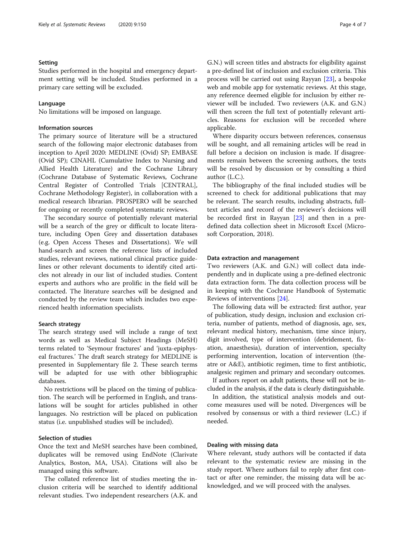#### Setting

Studies performed in the hospital and emergency department setting will be included. Studies performed in a primary care setting will be excluded.

#### Language

No limitations will be imposed on language.

#### Information sources

The primary source of literature will be a structured search of the following major electronic databases from inception to April 2020: MEDLINE (Ovid) SP; EMBASE (Ovid SP); CINAHL (Cumulative Index to Nursing and Allied Health Literature) and the Cochrane Library (Cochrane Database of Systematic Reviews, Cochrane Central Register of Controlled Trials [CENTRAL], Cochrane Methodology Register), in collaboration with a medical research librarian. PROSPERO will be searched for ongoing or recently completed systematic reviews.

The secondary source of potentially relevant material will be a search of the grey or difficult to locate literature, including Open Grey and dissertation databases (e.g. Open Access Theses and Dissertations). We will hand-search and screen the reference lists of included studies, relevant reviews, national clinical practice guidelines or other relevant documents to identify cited articles not already in our list of included studies. Content experts and authors who are prolific in the field will be contacted. The literature searches will be designed and conducted by the review team which includes two experienced health information specialists.

#### Search strategy

The search strategy used will include a range of text words as well as Medical Subject Headings (MeSH) terms related to 'Seymour fractures' and 'juxta-epiphyseal fractures.' The draft search strategy for MEDLINE is presented in Supplementary file 2. These search terms will be adapted for use with other bibliographic databases.

No restrictions will be placed on the timing of publication. The search will be performed in English, and translations will be sought for articles published in other languages. No restriction will be placed on publication status (i.e. unpublished studies will be included).

#### Selection of studies

Once the text and MeSH searches have been combined, duplicates will be removed using EndNote (Clarivate Analytics, Boston, MA, USA). Citations will also be managed using this software.

The collated reference list of studies meeting the inclusion criteria will be searched to identify additional relevant studies. Two independent researchers (A.K. and G.N.) will screen titles and abstracts for eligibility against a pre-defined list of inclusion and exclusion criteria. This process will be carried out using Rayyan [\[23](#page-6-0)], a bespoke web and mobile app for systematic reviews. At this stage, any reference deemed eligible for inclusion by either reviewer will be included. Two reviewers (A.K. and G.N.) will then screen the full text of potentially relevant articles. Reasons for exclusion will be recorded where applicable.

Where disparity occurs between references, consensus will be sought, and all remaining articles will be read in full before a decision on inclusion is made. If disagreements remain between the screening authors, the texts will be resolved by discussion or by consulting a third author (L.C.).

The bibliography of the final included studies will be screened to check for additional publications that may be relevant. The search results, including abstracts, fulltext articles and record of the reviewer's decisions will be recorded first in Rayyan [[23\]](#page-6-0) and then in a predefined data collection sheet in Microsoft Excel (Microsoft Corporation, 2018).

#### Data extraction and management

Two reviewers (A.K. and G.N.) will collect data independently and in duplicate using a pre-defined electronic data extraction form. The data collection process will be in keeping with the Cochrane Handbook of Systematic Reviews of interventions [[24\]](#page-6-0).

The following data will be extracted: first author, year of publication, study design, inclusion and exclusion criteria, number of patients, method of diagnosis, age, sex, relevant medical history, mechanism, time since injury, digit involved, type of intervention (debridement, fixation, anaesthesia), duration of intervention, specialty performing intervention, location of intervention (theatre or A&E), antibiotic regimen, time to first antibiotic, analgesic regimen and primary and secondary outcomes.

If authors report on adult patients, these will not be included in the analysis, if the data is clearly distinguishable.

In addition, the statistical analysis models and outcome measures used will be noted. Divergences will be resolved by consensus or with a third reviewer (L.C.) if needed.

#### Dealing with missing data

Where relevant, study authors will be contacted if data relevant to the systematic review are missing in the study report. Where authors fail to reply after first contact or after one reminder, the missing data will be acknowledged, and we will proceed with the analyses.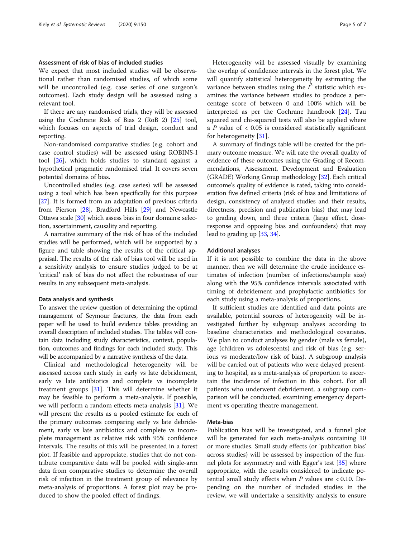#### Assessment of risk of bias of included studies

We expect that most included studies will be observational rather than randomised studies, of which some will be uncontrolled (e.g. case series of one surgeon's outcomes). Each study design will be assessed using a relevant tool.

If there are any randomised trials, they will be assessed using the Cochrane Risk of Bias 2 (RoB 2) [\[25](#page-6-0)] tool, which focuses on aspects of trial design, conduct and reporting.

Non-randomised comparative studies (e.g. cohort and case control studies) will be assessed using ROBINS-I tool [[26\]](#page-6-0), which holds studies to standard against a hypothetical pragmatic randomised trial. It covers seven potential domains of bias.

Uncontrolled studies (e.g. case series) will be assessed using a tool which has been specifically for this purpose [[27](#page-6-0)]. It is formed from an adaptation of previous criteria from Pierson [\[28\]](#page-6-0), Bradford Hills [[29](#page-6-0)] and Newcastle Ottawa scale [\[30\]](#page-6-0) which assess bias in four domains: selection, ascertainment, causality and reporting.

A narrative summary of the risk of bias of the included studies will be performed, which will be supported by a figure and table showing the results of the critical appraisal. The results of the risk of bias tool will be used in a sensitivity analysis to ensure studies judged to be at 'critical' risk of bias do not affect the robustness of our results in any subsequent meta-analysis.

#### Data analysis and synthesis

To answer the review question of determining the optimal management of Seymour fractures, the data from each paper will be used to build evidence tables providing an overall description of included studies. The tables will contain data including study characteristics, context, population, outcomes and findings for each included study. This will be accompanied by a narrative synthesis of the data.

Clinical and methodological heterogeneity will be assessed across each study in early vs late debridement, early vs late antibiotics and complete vs incomplete treatment groups [[31](#page-6-0)]. This will determine whether it may be feasible to perform a meta-analysis. If possible, we will perform a random effects meta-analysis [[31\]](#page-6-0). We will present the results as a pooled estimate for each of the primary outcomes comparing early vs late debridement, early vs late antibiotics and complete vs incomplete management as relative risk with 95% confidence intervals. The results of this will be presented in a forest plot. If feasible and appropriate, studies that do not contribute comparative data will be pooled with single-arm data from comparative studies to determine the overall risk of infection in the treatment group of relevance by meta-analysis of proportions. A forest plot may be produced to show the pooled effect of findings.

Heterogeneity will be assessed visually by examining the overlap of confidence intervals in the forest plot. We will quantify statistical heterogeneity by estimating the variance between studies using the  $I^2$  statistic which examines the variance between studies to produce a percentage score of between 0 and 100% which will be interpreted as per the Cochrane handbook [[24](#page-6-0)]. Tau squared and chi-squared tests will also be applied where a  $P$  value of  $\lt$  0.05 is considered statistically significant for heterogeneity [[31](#page-6-0)].

A summary of findings table will be created for the primary outcome measure. We will rate the overall quality of evidence of these outcomes using the Grading of Recommendations, Assessment, Development and Evaluation (GRADE) Working Group methodology [[32](#page-6-0)]. Each critical outcome's quality of evidence is rated, taking into consideration five defined criteria (risk of bias and limitations of design, consistency of analysed studies and their results, directness, precision and publication bias) that may lead to grading down, and three criteria (large effect, doseresponse and opposing bias and confounders) that may lead to grading up [\[33,](#page-6-0) [34](#page-6-0)].

#### Additional analyses

If it is not possible to combine the data in the above manner, then we will determine the crude incidence estimates of infection (number of infections/sample size) along with the 95% confidence intervals associated with timing of debridement and prophylactic antibiotics for each study using a meta-analysis of proportions.

If sufficient studies are identified and data points are available, potential sources of heterogeneity will be investigated further by subgroup analyses according to baseline characteristics and methodological covariates. We plan to conduct analyses by gender (male vs female), age (children vs adolescents) and risk of bias (e.g. serious vs moderate/low risk of bias). A subgroup analysis will be carried out of patients who were delayed presenting to hospital, as a meta-analysis of proportion to ascertain the incidence of infection in this cohort. For all patients who underwent debridement, a subgroup comparison will be conducted, examining emergency department vs operating theatre management.

#### Meta-bias

Publication bias will be investigated, and a funnel plot will be generated for each meta-analysis containing 10 or more studies. Small study effects (or 'publication bias' across studies) will be assessed by inspection of the funnel plots for asymmetry and with Egger's test [[35\]](#page-6-0) where appropriate, with the results considered to indicate potential small study effects when  $P$  values are < 0.10. Depending on the number of included studies in the review, we will undertake a sensitivity analysis to ensure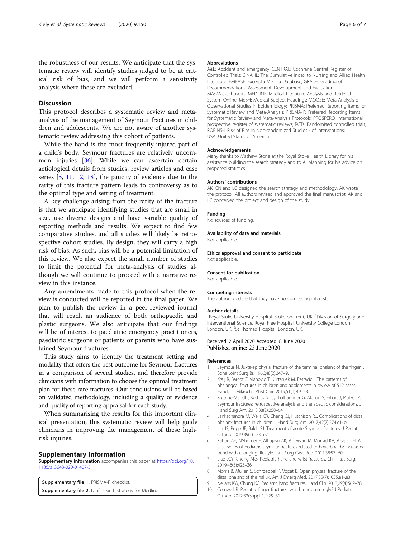<span id="page-5-0"></span>the robustness of our results. We anticipate that the systematic review will identify studies judged to be at critical risk of bias, and we will perform a sensitivity analysis where these are excluded.

#### **Discussion**

This protocol describes a systematic review and metaanalysis of the management of Seymour fractures in children and adolescents. We are not aware of another systematic review addressing this cohort of patients.

While the hand is the most frequently injured part of a child's body, Seymour fractures are relatively uncommon injuries [[36\]](#page-6-0). While we can ascertain certain aetiological details from studies, review articles and case series [5, [11,](#page-6-0) [12](#page-6-0), [18\]](#page-6-0), the paucity of evidence due to the rarity of this fracture pattern leads to controversy as to the optimal type and setting of treatment.

A key challenge arising from the rarity of the fracture is that we anticipate identifying studies that are small in size, use diverse designs and have variable quality of reporting methods and results. We expect to find few comparative studies, and all studies will likely be retrospective cohort studies. By design, they will carry a high risk of bias. As such, bias will be a potential limitation of this review. We also expect the small number of studies to limit the potential for meta-analysis of studies although we will continue to proceed with a narrative review in this instance.

Any amendments made to this protocol when the review is conducted will be reported in the final paper. We plan to publish the review in a peer-reviewed journal that will reach an audience of both orthopaedic and plastic surgeons. We also anticipate that our findings will be of interest to paediatric emergency practitioners, paediatric surgeons or patients or parents who have sustained Seymour fractures.

This study aims to identify the treatment setting and modality that offers the best outcome for Seymour fractures in a comparison of several studies, and therefore provide clinicians with information to choose the optimal treatment plan for these rare fractures. Our conclusions will be based on validated methodology, including a quality of evidence and quality of reporting appraisal for each study.

When summarising the results for this important clinical presentation, this systematic review will help guide clinicians in improving the management of these highrisk injuries.

#### Supplementary information

Supplementary information accompanies this paper at [https://doi.org/10.](https://doi.org/10.1186/s13643-020-01407-5) [1186/s13643-020-01407-5](https://doi.org/10.1186/s13643-020-01407-5).

Supplementary file 1. PRISMA-P checklist. Supplementary file 2. Draft search strategy for Medline.

#### Abbreviations

A&E: Accident and emergency; CENTRAL: Cochrane Central Register of Controlled Trials; CINAHL: The Cumulative Index to Nursing and Allied Health Literature; EMBASE: Excerpta Medica Database; GRADE: Grading of Recommendations, Assessment, Development and Evaluation; MA: Massachusetts; MEDLINE: Medical Literature Analysis and Retrieval System Online; MeSH: Medical Subject Headings; MOOSE: Meta-Analysis of Observational Studies in Epidemiology; PRISMA: Preferred Reporting Items for Systematic Review and Meta-Analysis; PRISMA-P: Preferred Reporting Items for Systematic Review and Meta-Analysis Protocols; PROSPERO: International prospective register of systematic reviews; RCTs: Randomised controlled trials; ROBINS-I: Risk of Bias In Non-randomized Studies - of Interventions; USA: United States of America

#### Acknowledgements

Many thanks to Mathew Stone at the Royal Stoke Health Library for his assistance building the search strategy and to Al Manning for his advice on proposed statistics.

#### Authors' contributions

AK, GN and LC designed the search strategy and methodology. AK wrote the protocol. All authors revised and approved the final manuscript. AK and LC conceived the project and design of the study.

#### Funding

No sources of funding.

#### Availability of data and materials

Not applicable.

Ethics approval and consent to participate Not applicable.

#### Consent for publication

Not applicable.

#### Competing interests

The authors declare that they have no competing interests.

#### Author details

<sup>1</sup> Royal Stoke University Hospital, Stoke-on-Trent, UK. <sup>2</sup> Division of Surgery and Interventional Science, Royal Free Hospital, University College London, London, UK. <sup>3</sup>St Thomas' Hospital, London, UK

## Received: 2 April 2020 Accepted: 8 June 2020<br>Published online: 23 June 2020

#### References

- 1. Seymour N. Juxta-epiphysial fracture of the terminal phalanx of the finger. J Bone Joint Surg Br. 1966;48(2):347–9.
- 2. Kralj R, Barcot Z, Vlahovic T, Kurtanjek M, Petracic I. The patterns of phalangeal fractures in children and adolescents: a review of 512 cases. Handchir Mikrochir Plast Chir. 2019;51(1):49–53.
- 3. Krusche-Mandl I, Köttstorfer J, Thalhammer G, Aldrian S, Erhart J, Platzer P. Seymour fractures: retrospective analysis and therapeutic considerations. J Hand Surg Am. 2013;38(2):258–64.
- 4. Lankachandra M, Wells CR, Cheng CJ, Hutchison RL. Complications of distal phalanx fractures in children. J Hand Surg Am. 2017;42(7):574.e1-.e6.
- 5. Lin JS, Popp JE, Balch SJ. Treatment of acute Seymour fractures. J Pediatr Orthop. 2019;39(1):e23–e7.
- Kattan AE, AlShomer F, Alhujayri AK, Alfowzan M, Murrad KA, Alsajjan H. A case series of pediatric seymour fractures related to hoverboards: increasing trend with changing lifestyle. Int J Surg Case Rep. 2017;38:57–60.
- 7. Liao JCY, Chong AKS. Pediatric hand and wrist fractures. Clin Plast Surg. 2019;46(3):425–36.
- 8. Morris B, Mullen S, Schroeppel P, Vopat B. Open physeal fracture of the distal phalanx of the hallux. Am J Emerg Med. 2017;35(7):1035.e1-.e3.
- 9. Nellans KW, Chung KC. Pediatric hand fractures. Hand Clin. 2013;29(4):569–78.
- 10. Cornwall R. Pediatric finger fractures: which ones turn ugly? J Pediatr Orthop. 2012;32(Suppl 1):S25–31.